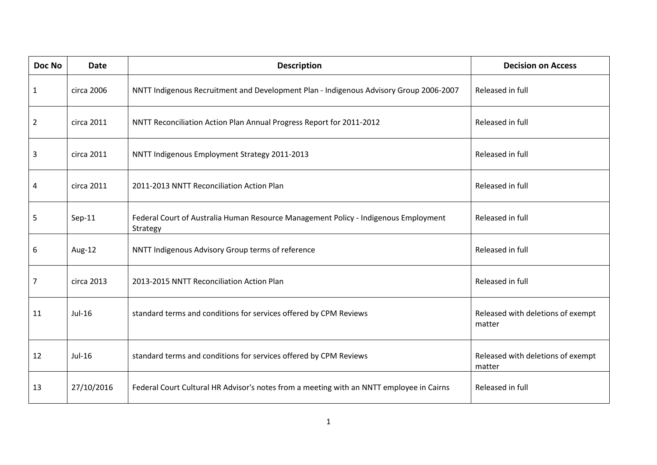| <b>Doc No</b>  | <b>Date</b> | <b>Description</b>                                                                              | <b>Decision on Access</b>                   |
|----------------|-------------|-------------------------------------------------------------------------------------------------|---------------------------------------------|
| $\mathbf{1}$   | circa 2006  | NNTT Indigenous Recruitment and Development Plan - Indigenous Advisory Group 2006-2007          | Released in full                            |
| $\overline{2}$ | circa 2011  | NNTT Reconciliation Action Plan Annual Progress Report for 2011-2012                            | Released in full                            |
| $\mathbf{3}$   | circa 2011  | NNTT Indigenous Employment Strategy 2011-2013                                                   | Released in full                            |
| 4              | circa 2011  | 2011-2013 NNTT Reconciliation Action Plan                                                       | Released in full                            |
| 5              | $Sep-11$    | Federal Court of Australia Human Resource Management Policy - Indigenous Employment<br>Strategy | Released in full                            |
| 6              | Aug-12      | NNTT Indigenous Advisory Group terms of reference                                               | Released in full                            |
| $\overline{7}$ | circa 2013  | 2013-2015 NNTT Reconciliation Action Plan                                                       | Released in full                            |
| 11             | Jul-16      | standard terms and conditions for services offered by CPM Reviews                               | Released with deletions of exempt<br>matter |
| 12             | Jul-16      | standard terms and conditions for services offered by CPM Reviews                               | Released with deletions of exempt<br>matter |
| 13             | 27/10/2016  | Federal Court Cultural HR Advisor's notes from a meeting with an NNTT employee in Cairns        | Released in full                            |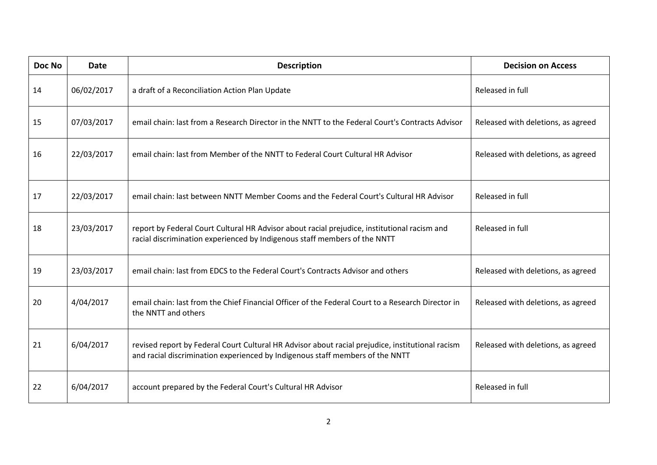| Doc No | <b>Date</b> | <b>Description</b>                                                                                                                                                                | <b>Decision on Access</b>          |
|--------|-------------|-----------------------------------------------------------------------------------------------------------------------------------------------------------------------------------|------------------------------------|
| 14     | 06/02/2017  | a draft of a Reconciliation Action Plan Update                                                                                                                                    | Released in full                   |
| 15     | 07/03/2017  | email chain: last from a Research Director in the NNTT to the Federal Court's Contracts Advisor                                                                                   | Released with deletions, as agreed |
| 16     | 22/03/2017  | email chain: last from Member of the NNTT to Federal Court Cultural HR Advisor                                                                                                    | Released with deletions, as agreed |
| 17     | 22/03/2017  | email chain: last between NNTT Member Cooms and the Federal Court's Cultural HR Advisor                                                                                           | Released in full                   |
| 18     | 23/03/2017  | report by Federal Court Cultural HR Advisor about racial prejudice, institutional racism and<br>racial discrimination experienced by Indigenous staff members of the NNTT         | Released in full                   |
| 19     | 23/03/2017  | email chain: last from EDCS to the Federal Court's Contracts Advisor and others                                                                                                   | Released with deletions, as agreed |
| 20     | 4/04/2017   | email chain: last from the Chief Financial Officer of the Federal Court to a Research Director in<br>the NNTT and others                                                          | Released with deletions, as agreed |
| 21     | 6/04/2017   | revised report by Federal Court Cultural HR Advisor about racial prejudice, institutional racism<br>and racial discrimination experienced by Indigenous staff members of the NNTT | Released with deletions, as agreed |
| 22     | 6/04/2017   | account prepared by the Federal Court's Cultural HR Advisor                                                                                                                       | Released in full                   |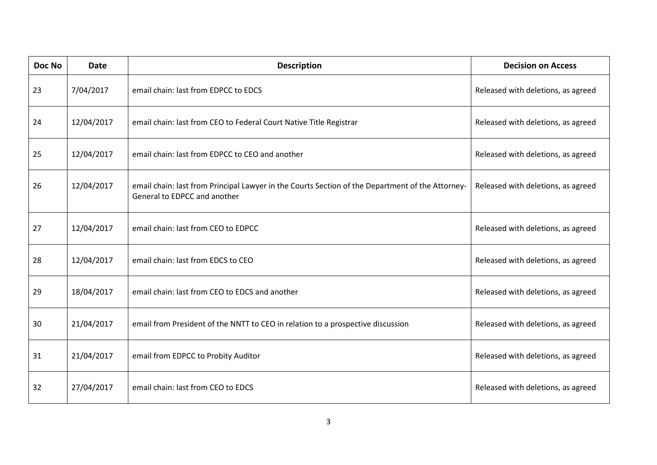| Doc No | <b>Date</b> | <b>Description</b>                                                                                                               | <b>Decision on Access</b>          |
|--------|-------------|----------------------------------------------------------------------------------------------------------------------------------|------------------------------------|
| 23     | 7/04/2017   | email chain: last from EDPCC to EDCS                                                                                             | Released with deletions, as agreed |
| 24     | 12/04/2017  | email chain: last from CEO to Federal Court Native Title Registrar                                                               | Released with deletions, as agreed |
| 25     | 12/04/2017  | email chain: last from EDPCC to CEO and another                                                                                  | Released with deletions, as agreed |
| 26     | 12/04/2017  | email chain: last from Principal Lawyer in the Courts Section of the Department of the Attorney-<br>General to EDPCC and another | Released with deletions, as agreed |
| 27     | 12/04/2017  | email chain: last from CEO to EDPCC                                                                                              | Released with deletions, as agreed |
| 28     | 12/04/2017  | email chain: last from EDCS to CEO                                                                                               | Released with deletions, as agreed |
| 29     | 18/04/2017  | email chain: last from CEO to EDCS and another                                                                                   | Released with deletions, as agreed |
| 30     | 21/04/2017  | email from President of the NNTT to CEO in relation to a prospective discussion                                                  | Released with deletions, as agreed |
| 31     | 21/04/2017  | email from EDPCC to Probity Auditor                                                                                              | Released with deletions, as agreed |
| 32     | 27/04/2017  | email chain: last from CEO to EDCS                                                                                               | Released with deletions, as agreed |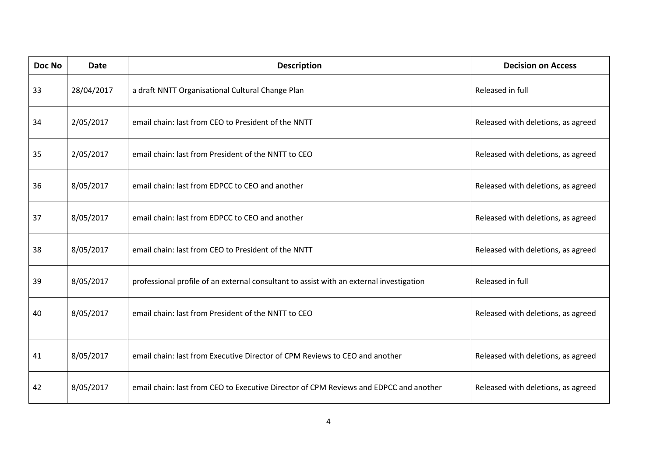| Doc No | <b>Date</b> | <b>Description</b>                                                                      | <b>Decision on Access</b>          |
|--------|-------------|-----------------------------------------------------------------------------------------|------------------------------------|
| 33     | 28/04/2017  | a draft NNTT Organisational Cultural Change Plan                                        | Released in full                   |
| 34     | 2/05/2017   | email chain: last from CEO to President of the NNTT                                     | Released with deletions, as agreed |
| 35     | 2/05/2017   | email chain: last from President of the NNTT to CEO                                     | Released with deletions, as agreed |
| 36     | 8/05/2017   | email chain: last from EDPCC to CEO and another                                         | Released with deletions, as agreed |
| 37     | 8/05/2017   | email chain: last from EDPCC to CEO and another                                         | Released with deletions, as agreed |
| 38     | 8/05/2017   | email chain: last from CEO to President of the NNTT                                     | Released with deletions, as agreed |
| 39     | 8/05/2017   | professional profile of an external consultant to assist with an external investigation | Released in full                   |
| 40     | 8/05/2017   | email chain: last from President of the NNTT to CEO                                     | Released with deletions, as agreed |
| 41     | 8/05/2017   | email chain: last from Executive Director of CPM Reviews to CEO and another             | Released with deletions, as agreed |
| 42     | 8/05/2017   | email chain: last from CEO to Executive Director of CPM Reviews and EDPCC and another   | Released with deletions, as agreed |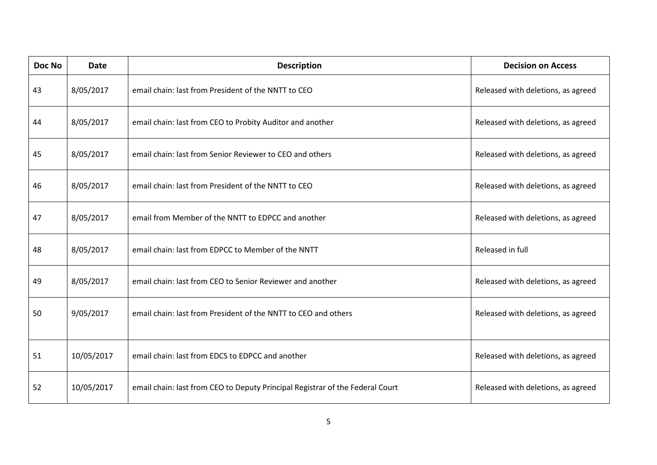| Doc No | <b>Date</b> | <b>Description</b>                                                            | <b>Decision on Access</b>          |
|--------|-------------|-------------------------------------------------------------------------------|------------------------------------|
| 43     | 8/05/2017   | email chain: last from President of the NNTT to CEO                           | Released with deletions, as agreed |
| 44     | 8/05/2017   | email chain: last from CEO to Probity Auditor and another                     | Released with deletions, as agreed |
| 45     | 8/05/2017   | email chain: last from Senior Reviewer to CEO and others                      | Released with deletions, as agreed |
| 46     | 8/05/2017   | email chain: last from President of the NNTT to CEO                           | Released with deletions, as agreed |
| 47     | 8/05/2017   | email from Member of the NNTT to EDPCC and another                            | Released with deletions, as agreed |
| 48     | 8/05/2017   | email chain: last from EDPCC to Member of the NNTT                            | Released in full                   |
| 49     | 8/05/2017   | email chain: last from CEO to Senior Reviewer and another                     | Released with deletions, as agreed |
| 50     | 9/05/2017   | email chain: last from President of the NNTT to CEO and others                | Released with deletions, as agreed |
| 51     | 10/05/2017  | email chain: last from EDCS to EDPCC and another                              | Released with deletions, as agreed |
| 52     | 10/05/2017  | email chain: last from CEO to Deputy Principal Registrar of the Federal Court | Released with deletions, as agreed |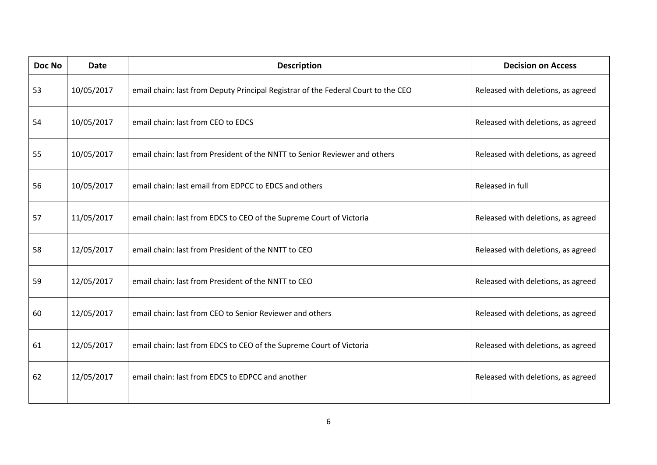| Doc No | <b>Date</b> | <b>Description</b>                                                                | <b>Decision on Access</b>          |
|--------|-------------|-----------------------------------------------------------------------------------|------------------------------------|
| 53     | 10/05/2017  | email chain: last from Deputy Principal Registrar of the Federal Court to the CEO | Released with deletions, as agreed |
| 54     | 10/05/2017  | email chain: last from CEO to EDCS                                                | Released with deletions, as agreed |
| 55     | 10/05/2017  | email chain: last from President of the NNTT to Senior Reviewer and others        | Released with deletions, as agreed |
| 56     | 10/05/2017  | email chain: last email from EDPCC to EDCS and others                             | Released in full                   |
| 57     | 11/05/2017  | email chain: last from EDCS to CEO of the Supreme Court of Victoria               | Released with deletions, as agreed |
| 58     | 12/05/2017  | email chain: last from President of the NNTT to CEO                               | Released with deletions, as agreed |
| 59     | 12/05/2017  | email chain: last from President of the NNTT to CEO                               | Released with deletions, as agreed |
| 60     | 12/05/2017  | email chain: last from CEO to Senior Reviewer and others                          | Released with deletions, as agreed |
| 61     | 12/05/2017  | email chain: last from EDCS to CEO of the Supreme Court of Victoria               | Released with deletions, as agreed |
| 62     | 12/05/2017  | email chain: last from EDCS to EDPCC and another                                  | Released with deletions, as agreed |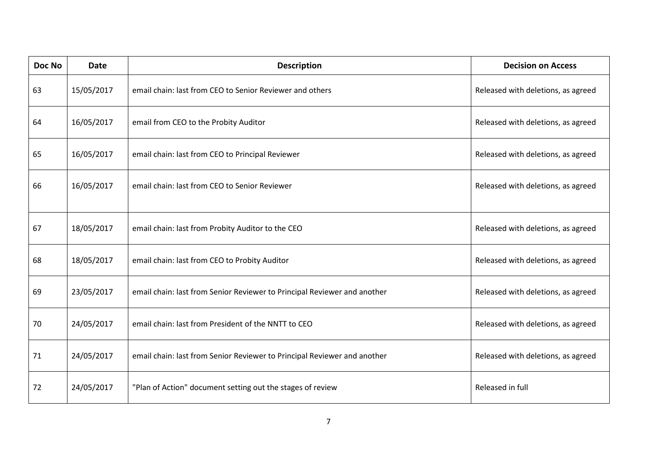| Doc No | <b>Date</b> | <b>Description</b>                                                       | <b>Decision on Access</b>          |
|--------|-------------|--------------------------------------------------------------------------|------------------------------------|
| 63     | 15/05/2017  | email chain: last from CEO to Senior Reviewer and others                 | Released with deletions, as agreed |
| 64     | 16/05/2017  | email from CEO to the Probity Auditor                                    | Released with deletions, as agreed |
| 65     | 16/05/2017  | email chain: last from CEO to Principal Reviewer                         | Released with deletions, as agreed |
| 66     | 16/05/2017  | email chain: last from CEO to Senior Reviewer                            | Released with deletions, as agreed |
| 67     | 18/05/2017  | email chain: last from Probity Auditor to the CEO                        | Released with deletions, as agreed |
| 68     | 18/05/2017  | email chain: last from CEO to Probity Auditor                            | Released with deletions, as agreed |
| 69     | 23/05/2017  | email chain: last from Senior Reviewer to Principal Reviewer and another | Released with deletions, as agreed |
| 70     | 24/05/2017  | email chain: last from President of the NNTT to CEO                      | Released with deletions, as agreed |
| 71     | 24/05/2017  | email chain: last from Senior Reviewer to Principal Reviewer and another | Released with deletions, as agreed |
| 72     | 24/05/2017  | "Plan of Action" document setting out the stages of review               | Released in full                   |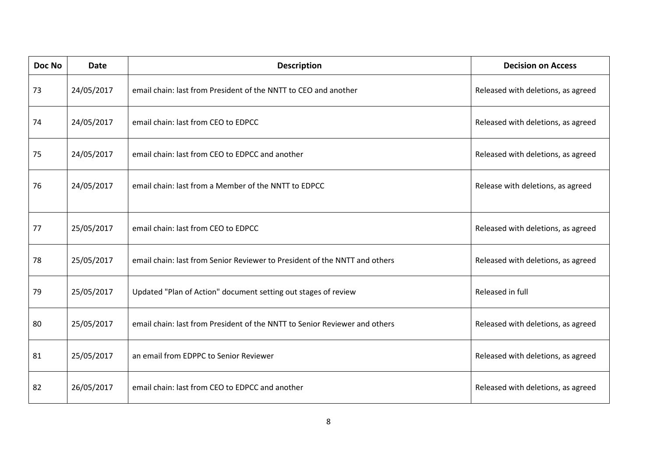| Doc No | <b>Date</b> | <b>Description</b>                                                         | <b>Decision on Access</b>          |
|--------|-------------|----------------------------------------------------------------------------|------------------------------------|
| 73     | 24/05/2017  | email chain: last from President of the NNTT to CEO and another            | Released with deletions, as agreed |
| 74     | 24/05/2017  | email chain: last from CEO to EDPCC                                        | Released with deletions, as agreed |
| 75     | 24/05/2017  | email chain: last from CEO to EDPCC and another                            | Released with deletions, as agreed |
| 76     | 24/05/2017  | email chain: last from a Member of the NNTT to EDPCC                       | Release with deletions, as agreed  |
| 77     | 25/05/2017  | email chain: last from CEO to EDPCC                                        | Released with deletions, as agreed |
| 78     | 25/05/2017  | email chain: last from Senior Reviewer to President of the NNTT and others | Released with deletions, as agreed |
| 79     | 25/05/2017  | Updated "Plan of Action" document setting out stages of review             | Released in full                   |
| 80     | 25/05/2017  | email chain: last from President of the NNTT to Senior Reviewer and others | Released with deletions, as agreed |
| 81     | 25/05/2017  | an email from EDPPC to Senior Reviewer                                     | Released with deletions, as agreed |
| 82     | 26/05/2017  | email chain: last from CEO to EDPCC and another                            | Released with deletions, as agreed |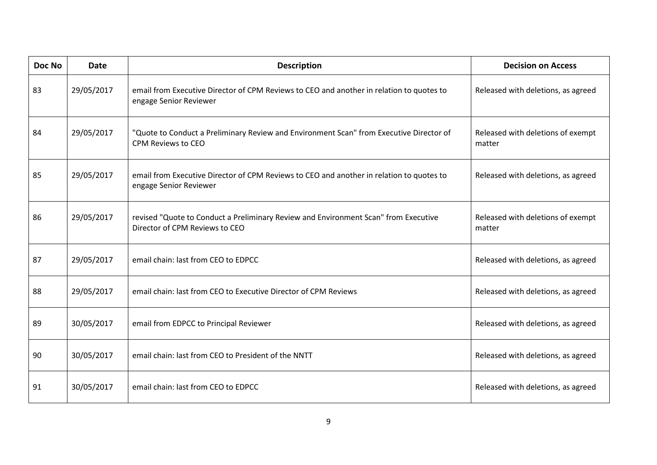| Doc No | <b>Date</b> | <b>Description</b>                                                                                                    | <b>Decision on Access</b>                   |
|--------|-------------|-----------------------------------------------------------------------------------------------------------------------|---------------------------------------------|
| 83     | 29/05/2017  | email from Executive Director of CPM Reviews to CEO and another in relation to quotes to<br>engage Senior Reviewer    | Released with deletions, as agreed          |
| 84     | 29/05/2017  | "Quote to Conduct a Preliminary Review and Environment Scan" from Executive Director of<br>CPM Reviews to CEO         | Released with deletions of exempt<br>matter |
| 85     | 29/05/2017  | email from Executive Director of CPM Reviews to CEO and another in relation to quotes to<br>engage Senior Reviewer    | Released with deletions, as agreed          |
| 86     | 29/05/2017  | revised "Quote to Conduct a Preliminary Review and Environment Scan" from Executive<br>Director of CPM Reviews to CEO | Released with deletions of exempt<br>matter |
| 87     | 29/05/2017  | email chain: last from CEO to EDPCC                                                                                   | Released with deletions, as agreed          |
| 88     | 29/05/2017  | email chain: last from CEO to Executive Director of CPM Reviews                                                       | Released with deletions, as agreed          |
| 89     | 30/05/2017  | email from EDPCC to Principal Reviewer                                                                                | Released with deletions, as agreed          |
| 90     | 30/05/2017  | email chain: last from CEO to President of the NNTT                                                                   | Released with deletions, as agreed          |
| 91     | 30/05/2017  | email chain: last from CEO to EDPCC                                                                                   | Released with deletions, as agreed          |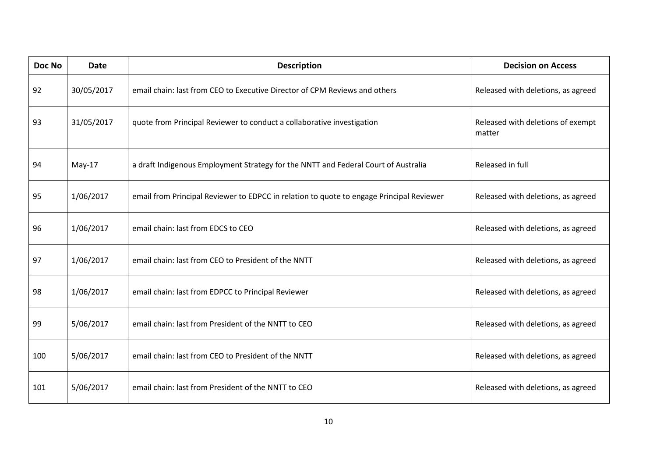| Doc No | <b>Date</b> | <b>Description</b>                                                                       | <b>Decision on Access</b>                   |
|--------|-------------|------------------------------------------------------------------------------------------|---------------------------------------------|
| 92     | 30/05/2017  | email chain: last from CEO to Executive Director of CPM Reviews and others               | Released with deletions, as agreed          |
| 93     | 31/05/2017  | quote from Principal Reviewer to conduct a collaborative investigation                   | Released with deletions of exempt<br>matter |
| 94     | $May-17$    | a draft Indigenous Employment Strategy for the NNTT and Federal Court of Australia       | Released in full                            |
| 95     | 1/06/2017   | email from Principal Reviewer to EDPCC in relation to quote to engage Principal Reviewer | Released with deletions, as agreed          |
| 96     | 1/06/2017   | email chain: last from EDCS to CEO                                                       | Released with deletions, as agreed          |
| 97     | 1/06/2017   | email chain: last from CEO to President of the NNTT                                      | Released with deletions, as agreed          |
| 98     | 1/06/2017   | email chain: last from EDPCC to Principal Reviewer                                       | Released with deletions, as agreed          |
| 99     | 5/06/2017   | email chain: last from President of the NNTT to CEO                                      | Released with deletions, as agreed          |
| 100    | 5/06/2017   | email chain: last from CEO to President of the NNTT                                      | Released with deletions, as agreed          |
| 101    | 5/06/2017   | email chain: last from President of the NNTT to CEO                                      | Released with deletions, as agreed          |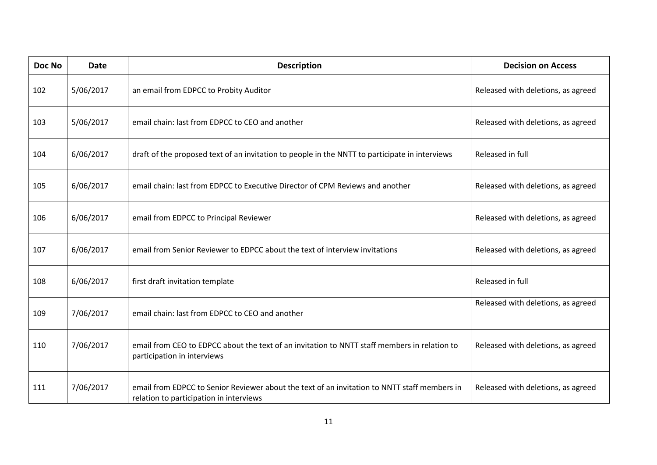| Doc No | <b>Date</b> | <b>Description</b>                                                                                                                      | <b>Decision on Access</b>          |
|--------|-------------|-----------------------------------------------------------------------------------------------------------------------------------------|------------------------------------|
| 102    | 5/06/2017   | an email from EDPCC to Probity Auditor                                                                                                  | Released with deletions, as agreed |
| 103    | 5/06/2017   | email chain: last from EDPCC to CEO and another                                                                                         | Released with deletions, as agreed |
| 104    | 6/06/2017   | draft of the proposed text of an invitation to people in the NNTT to participate in interviews                                          | Released in full                   |
| 105    | 6/06/2017   | email chain: last from EDPCC to Executive Director of CPM Reviews and another                                                           | Released with deletions, as agreed |
| 106    | 6/06/2017   | email from EDPCC to Principal Reviewer                                                                                                  | Released with deletions, as agreed |
| 107    | 6/06/2017   | email from Senior Reviewer to EDPCC about the text of interview invitations                                                             | Released with deletions, as agreed |
| 108    | 6/06/2017   | first draft invitation template                                                                                                         | Released in full                   |
| 109    | 7/06/2017   | email chain: last from EDPCC to CEO and another                                                                                         | Released with deletions, as agreed |
| 110    | 7/06/2017   | email from CEO to EDPCC about the text of an invitation to NNTT staff members in relation to<br>participation in interviews             | Released with deletions, as agreed |
| 111    | 7/06/2017   | email from EDPCC to Senior Reviewer about the text of an invitation to NNTT staff members in<br>relation to participation in interviews | Released with deletions, as agreed |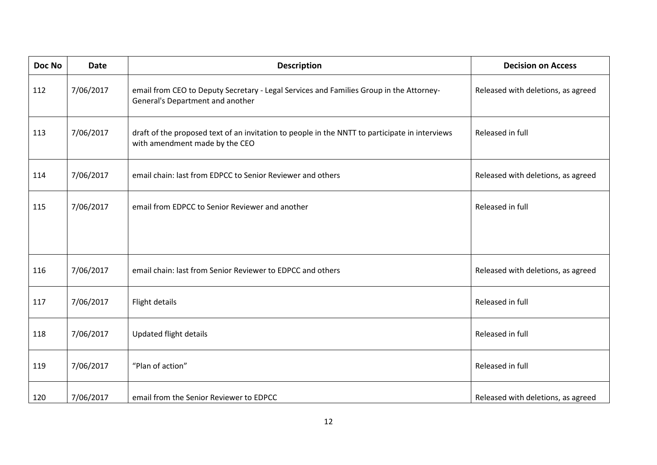| Doc No | <b>Date</b> | <b>Description</b>                                                                                                               | <b>Decision on Access</b>          |
|--------|-------------|----------------------------------------------------------------------------------------------------------------------------------|------------------------------------|
| 112    | 7/06/2017   | email from CEO to Deputy Secretary - Legal Services and Families Group in the Attorney-<br>General's Department and another      | Released with deletions, as agreed |
| 113    | 7/06/2017   | draft of the proposed text of an invitation to people in the NNTT to participate in interviews<br>with amendment made by the CEO | Released in full                   |
| 114    | 7/06/2017   | email chain: last from EDPCC to Senior Reviewer and others                                                                       | Released with deletions, as agreed |
| 115    | 7/06/2017   | email from EDPCC to Senior Reviewer and another                                                                                  | Released in full                   |
| 116    | 7/06/2017   | email chain: last from Senior Reviewer to EDPCC and others                                                                       | Released with deletions, as agreed |
| 117    | 7/06/2017   | Flight details                                                                                                                   | Released in full                   |
| 118    | 7/06/2017   | <b>Updated flight details</b>                                                                                                    | Released in full                   |
| 119    | 7/06/2017   | "Plan of action"                                                                                                                 | Released in full                   |
| 120    | 7/06/2017   | email from the Senior Reviewer to EDPCC                                                                                          | Released with deletions, as agreed |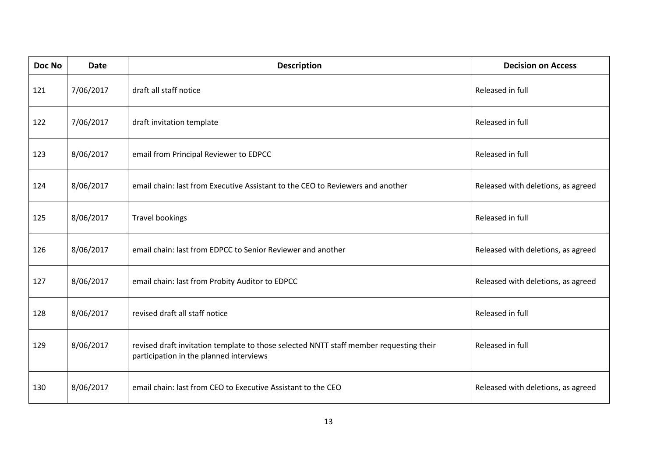| Doc No | <b>Date</b> | <b>Description</b>                                                                                                                | <b>Decision on Access</b>          |
|--------|-------------|-----------------------------------------------------------------------------------------------------------------------------------|------------------------------------|
| 121    | 7/06/2017   | draft all staff notice                                                                                                            | Released in full                   |
| 122    | 7/06/2017   | draft invitation template                                                                                                         | Released in full                   |
| 123    | 8/06/2017   | email from Principal Reviewer to EDPCC                                                                                            | Released in full                   |
| 124    | 8/06/2017   | email chain: last from Executive Assistant to the CEO to Reviewers and another                                                    | Released with deletions, as agreed |
| 125    | 8/06/2017   | <b>Travel bookings</b>                                                                                                            | Released in full                   |
| 126    | 8/06/2017   | email chain: last from EDPCC to Senior Reviewer and another                                                                       | Released with deletions, as agreed |
| 127    | 8/06/2017   | email chain: last from Probity Auditor to EDPCC                                                                                   | Released with deletions, as agreed |
| 128    | 8/06/2017   | revised draft all staff notice                                                                                                    | Released in full                   |
| 129    | 8/06/2017   | revised draft invitation template to those selected NNTT staff member requesting their<br>participation in the planned interviews | Released in full                   |
| 130    | 8/06/2017   | email chain: last from CEO to Executive Assistant to the CEO                                                                      | Released with deletions, as agreed |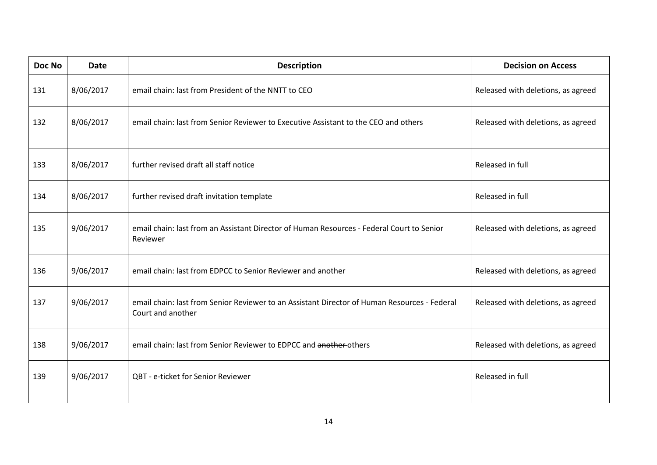| Doc No | <b>Date</b> | <b>Description</b>                                                                                                | <b>Decision on Access</b>          |
|--------|-------------|-------------------------------------------------------------------------------------------------------------------|------------------------------------|
| 131    | 8/06/2017   | email chain: last from President of the NNTT to CEO                                                               | Released with deletions, as agreed |
| 132    | 8/06/2017   | email chain: last from Senior Reviewer to Executive Assistant to the CEO and others                               | Released with deletions, as agreed |
| 133    | 8/06/2017   | further revised draft all staff notice                                                                            | Released in full                   |
| 134    | 8/06/2017   | further revised draft invitation template                                                                         | Released in full                   |
| 135    | 9/06/2017   | email chain: last from an Assistant Director of Human Resources - Federal Court to Senior<br>Reviewer             | Released with deletions, as agreed |
| 136    | 9/06/2017   | email chain: last from EDPCC to Senior Reviewer and another                                                       | Released with deletions, as agreed |
| 137    | 9/06/2017   | email chain: last from Senior Reviewer to an Assistant Director of Human Resources - Federal<br>Court and another | Released with deletions, as agreed |
| 138    | 9/06/2017   | email chain: last from Senior Reviewer to EDPCC and another-others                                                | Released with deletions, as agreed |
| 139    | 9/06/2017   | QBT - e-ticket for Senior Reviewer                                                                                | Released in full                   |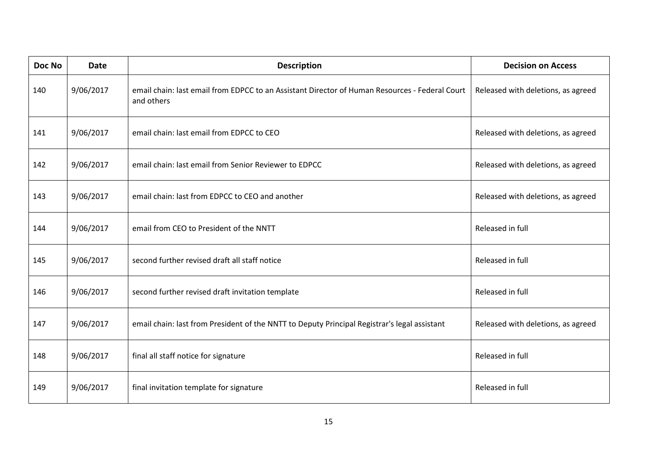| Doc No | <b>Date</b> | <b>Description</b>                                                                                           | <b>Decision on Access</b>          |
|--------|-------------|--------------------------------------------------------------------------------------------------------------|------------------------------------|
| 140    | 9/06/2017   | email chain: last email from EDPCC to an Assistant Director of Human Resources - Federal Court<br>and others | Released with deletions, as agreed |
| 141    | 9/06/2017   | email chain: last email from EDPCC to CEO                                                                    | Released with deletions, as agreed |
| 142    | 9/06/2017   | email chain: last email from Senior Reviewer to EDPCC                                                        | Released with deletions, as agreed |
| 143    | 9/06/2017   | email chain: last from EDPCC to CEO and another                                                              | Released with deletions, as agreed |
| 144    | 9/06/2017   | email from CEO to President of the NNTT                                                                      | Released in full                   |
| 145    | 9/06/2017   | second further revised draft all staff notice                                                                | Released in full                   |
| 146    | 9/06/2017   | second further revised draft invitation template                                                             | Released in full                   |
| 147    | 9/06/2017   | email chain: last from President of the NNTT to Deputy Principal Registrar's legal assistant                 | Released with deletions, as agreed |
| 148    | 9/06/2017   | final all staff notice for signature                                                                         | Released in full                   |
| 149    | 9/06/2017   | final invitation template for signature                                                                      | Released in full                   |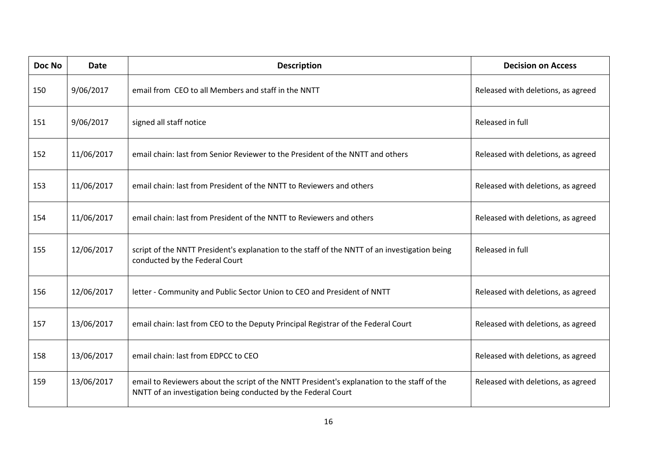| Doc No | <b>Date</b> | <b>Description</b>                                                                                                                                           | <b>Decision on Access</b>          |
|--------|-------------|--------------------------------------------------------------------------------------------------------------------------------------------------------------|------------------------------------|
| 150    | 9/06/2017   | email from CEO to all Members and staff in the NNTT                                                                                                          | Released with deletions, as agreed |
| 151    | 9/06/2017   | signed all staff notice                                                                                                                                      | Released in full                   |
| 152    | 11/06/2017  | email chain: last from Senior Reviewer to the President of the NNTT and others                                                                               | Released with deletions, as agreed |
| 153    | 11/06/2017  | email chain: last from President of the NNTT to Reviewers and others                                                                                         | Released with deletions, as agreed |
| 154    | 11/06/2017  | email chain: last from President of the NNTT to Reviewers and others                                                                                         | Released with deletions, as agreed |
| 155    | 12/06/2017  | script of the NNTT President's explanation to the staff of the NNTT of an investigation being<br>conducted by the Federal Court                              | Released in full                   |
| 156    | 12/06/2017  | letter - Community and Public Sector Union to CEO and President of NNTT                                                                                      | Released with deletions, as agreed |
| 157    | 13/06/2017  | email chain: last from CEO to the Deputy Principal Registrar of the Federal Court                                                                            | Released with deletions, as agreed |
| 158    | 13/06/2017  | email chain: last from EDPCC to CEO                                                                                                                          | Released with deletions, as agreed |
| 159    | 13/06/2017  | email to Reviewers about the script of the NNTT President's explanation to the staff of the<br>NNTT of an investigation being conducted by the Federal Court | Released with deletions, as agreed |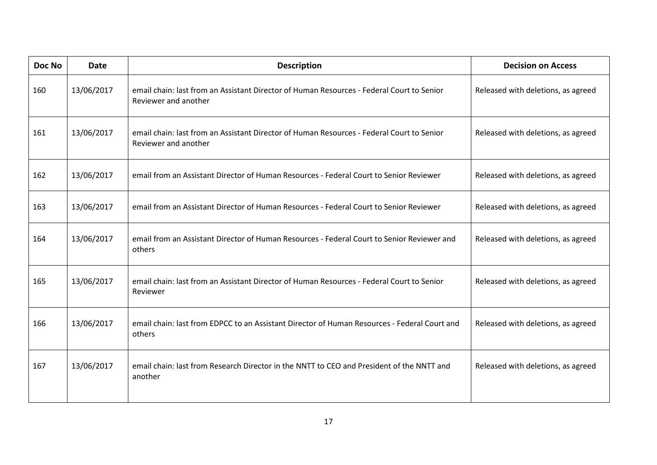| Doc No | <b>Date</b> | <b>Description</b>                                                                                                | <b>Decision on Access</b>          |
|--------|-------------|-------------------------------------------------------------------------------------------------------------------|------------------------------------|
| 160    | 13/06/2017  | email chain: last from an Assistant Director of Human Resources - Federal Court to Senior<br>Reviewer and another | Released with deletions, as agreed |
| 161    | 13/06/2017  | email chain: last from an Assistant Director of Human Resources - Federal Court to Senior<br>Reviewer and another | Released with deletions, as agreed |
| 162    | 13/06/2017  | email from an Assistant Director of Human Resources - Federal Court to Senior Reviewer                            | Released with deletions, as agreed |
| 163    | 13/06/2017  | email from an Assistant Director of Human Resources - Federal Court to Senior Reviewer                            | Released with deletions, as agreed |
| 164    | 13/06/2017  | email from an Assistant Director of Human Resources - Federal Court to Senior Reviewer and<br>others              | Released with deletions, as agreed |
| 165    | 13/06/2017  | email chain: last from an Assistant Director of Human Resources - Federal Court to Senior<br>Reviewer             | Released with deletions, as agreed |
| 166    | 13/06/2017  | email chain: last from EDPCC to an Assistant Director of Human Resources - Federal Court and<br>others            | Released with deletions, as agreed |
| 167    | 13/06/2017  | email chain: last from Research Director in the NNTT to CEO and President of the NNTT and<br>another              | Released with deletions, as agreed |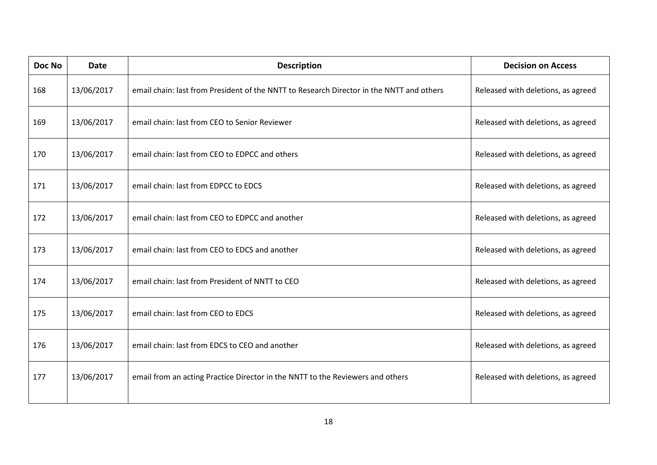| Doc No | <b>Date</b> | <b>Description</b>                                                                       | <b>Decision on Access</b>          |
|--------|-------------|------------------------------------------------------------------------------------------|------------------------------------|
| 168    | 13/06/2017  | email chain: last from President of the NNTT to Research Director in the NNTT and others | Released with deletions, as agreed |
| 169    | 13/06/2017  | email chain: last from CEO to Senior Reviewer                                            | Released with deletions, as agreed |
| 170    | 13/06/2017  | email chain: last from CEO to EDPCC and others                                           | Released with deletions, as agreed |
| 171    | 13/06/2017  | email chain: last from EDPCC to EDCS                                                     | Released with deletions, as agreed |
| 172    | 13/06/2017  | email chain: last from CEO to EDPCC and another                                          | Released with deletions, as agreed |
| 173    | 13/06/2017  | email chain: last from CEO to EDCS and another                                           | Released with deletions, as agreed |
| 174    | 13/06/2017  | email chain: last from President of NNTT to CEO                                          | Released with deletions, as agreed |
| 175    | 13/06/2017  | email chain: last from CEO to EDCS                                                       | Released with deletions, as agreed |
| 176    | 13/06/2017  | email chain: last from EDCS to CEO and another                                           | Released with deletions, as agreed |
| 177    | 13/06/2017  | email from an acting Practice Director in the NNTT to the Reviewers and others           | Released with deletions, as agreed |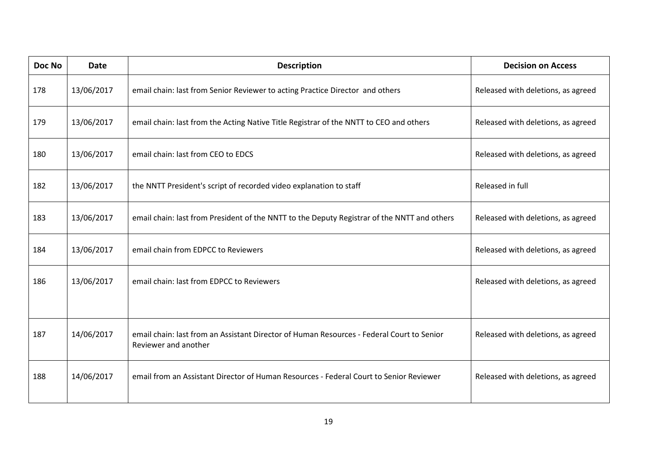| <b>Doc No</b> | <b>Date</b> | <b>Description</b>                                                                                                | <b>Decision on Access</b>          |
|---------------|-------------|-------------------------------------------------------------------------------------------------------------------|------------------------------------|
| 178           | 13/06/2017  | email chain: last from Senior Reviewer to acting Practice Director and others                                     | Released with deletions, as agreed |
| 179           | 13/06/2017  | email chain: last from the Acting Native Title Registrar of the NNTT to CEO and others                            | Released with deletions, as agreed |
| 180           | 13/06/2017  | email chain: last from CEO to EDCS                                                                                | Released with deletions, as agreed |
| 182           | 13/06/2017  | the NNTT President's script of recorded video explanation to staff                                                | Released in full                   |
| 183           | 13/06/2017  | email chain: last from President of the NNTT to the Deputy Registrar of the NNTT and others                       | Released with deletions, as agreed |
| 184           | 13/06/2017  | email chain from EDPCC to Reviewers                                                                               | Released with deletions, as agreed |
| 186           | 13/06/2017  | email chain: last from EDPCC to Reviewers                                                                         | Released with deletions, as agreed |
|               |             |                                                                                                                   |                                    |
| 187           | 14/06/2017  | email chain: last from an Assistant Director of Human Resources - Federal Court to Senior<br>Reviewer and another | Released with deletions, as agreed |
| 188           | 14/06/2017  | email from an Assistant Director of Human Resources - Federal Court to Senior Reviewer                            | Released with deletions, as agreed |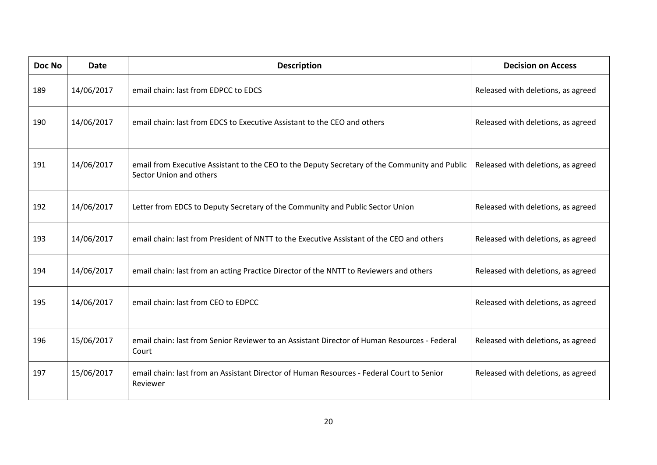| Doc No | <b>Date</b> | <b>Description</b>                                                                                                       | <b>Decision on Access</b>          |
|--------|-------------|--------------------------------------------------------------------------------------------------------------------------|------------------------------------|
| 189    | 14/06/2017  | email chain: last from EDPCC to EDCS                                                                                     | Released with deletions, as agreed |
| 190    | 14/06/2017  | email chain: last from EDCS to Executive Assistant to the CEO and others                                                 | Released with deletions, as agreed |
| 191    | 14/06/2017  | email from Executive Assistant to the CEO to the Deputy Secretary of the Community and Public<br>Sector Union and others | Released with deletions, as agreed |
| 192    | 14/06/2017  | Letter from EDCS to Deputy Secretary of the Community and Public Sector Union                                            | Released with deletions, as agreed |
| 193    | 14/06/2017  | email chain: last from President of NNTT to the Executive Assistant of the CEO and others                                | Released with deletions, as agreed |
| 194    | 14/06/2017  | email chain: last from an acting Practice Director of the NNTT to Reviewers and others                                   | Released with deletions, as agreed |
| 195    | 14/06/2017  | email chain: last from CEO to EDPCC                                                                                      | Released with deletions, as agreed |
| 196    | 15/06/2017  | email chain: last from Senior Reviewer to an Assistant Director of Human Resources - Federal<br>Court                    | Released with deletions, as agreed |
| 197    | 15/06/2017  | email chain: last from an Assistant Director of Human Resources - Federal Court to Senior<br>Reviewer                    | Released with deletions, as agreed |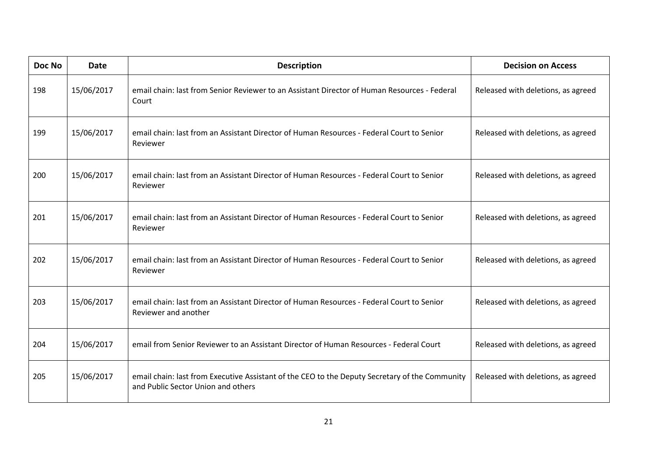| Doc No | <b>Date</b> | <b>Description</b>                                                                                                                   | <b>Decision on Access</b>          |
|--------|-------------|--------------------------------------------------------------------------------------------------------------------------------------|------------------------------------|
| 198    | 15/06/2017  | email chain: last from Senior Reviewer to an Assistant Director of Human Resources - Federal<br>Court                                | Released with deletions, as agreed |
| 199    | 15/06/2017  | email chain: last from an Assistant Director of Human Resources - Federal Court to Senior<br>Reviewer                                | Released with deletions, as agreed |
| 200    | 15/06/2017  | email chain: last from an Assistant Director of Human Resources - Federal Court to Senior<br>Reviewer                                | Released with deletions, as agreed |
| 201    | 15/06/2017  | email chain: last from an Assistant Director of Human Resources - Federal Court to Senior<br>Reviewer                                | Released with deletions, as agreed |
| 202    | 15/06/2017  | email chain: last from an Assistant Director of Human Resources - Federal Court to Senior<br>Reviewer                                | Released with deletions, as agreed |
| 203    | 15/06/2017  | email chain: last from an Assistant Director of Human Resources - Federal Court to Senior<br>Reviewer and another                    | Released with deletions, as agreed |
| 204    | 15/06/2017  | email from Senior Reviewer to an Assistant Director of Human Resources - Federal Court                                               | Released with deletions, as agreed |
| 205    | 15/06/2017  | email chain: last from Executive Assistant of the CEO to the Deputy Secretary of the Community<br>and Public Sector Union and others | Released with deletions, as agreed |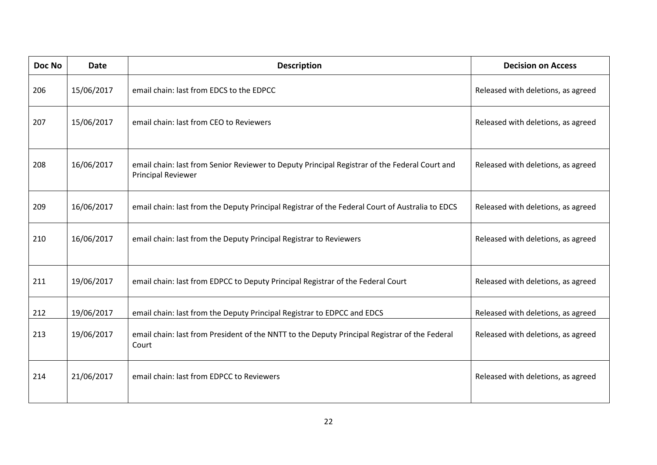| Doc No | <b>Date</b> | <b>Description</b>                                                                                                         | <b>Decision on Access</b>          |
|--------|-------------|----------------------------------------------------------------------------------------------------------------------------|------------------------------------|
| 206    | 15/06/2017  | email chain: last from EDCS to the EDPCC                                                                                   | Released with deletions, as agreed |
| 207    | 15/06/2017  | email chain: last from CEO to Reviewers                                                                                    | Released with deletions, as agreed |
| 208    | 16/06/2017  | email chain: last from Senior Reviewer to Deputy Principal Registrar of the Federal Court and<br><b>Principal Reviewer</b> | Released with deletions, as agreed |
| 209    | 16/06/2017  | email chain: last from the Deputy Principal Registrar of the Federal Court of Australia to EDCS                            | Released with deletions, as agreed |
| 210    | 16/06/2017  | email chain: last from the Deputy Principal Registrar to Reviewers                                                         | Released with deletions, as agreed |
| 211    | 19/06/2017  | email chain: last from EDPCC to Deputy Principal Registrar of the Federal Court                                            | Released with deletions, as agreed |
| 212    | 19/06/2017  | email chain: last from the Deputy Principal Registrar to EDPCC and EDCS                                                    | Released with deletions, as agreed |
| 213    | 19/06/2017  | email chain: last from President of the NNTT to the Deputy Principal Registrar of the Federal<br>Court                     | Released with deletions, as agreed |
| 214    | 21/06/2017  | email chain: last from EDPCC to Reviewers                                                                                  | Released with deletions, as agreed |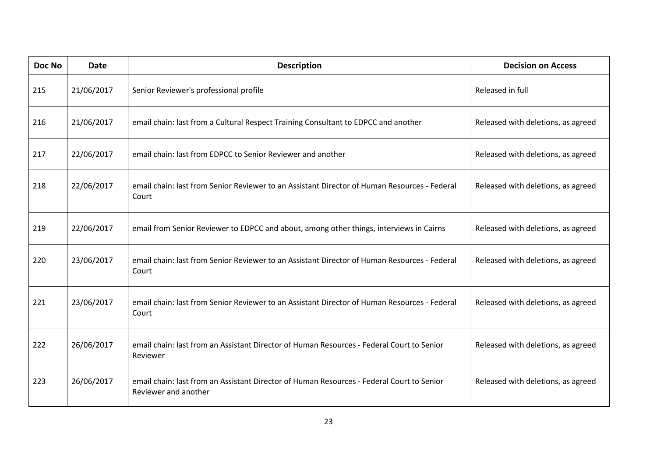| Doc No | <b>Date</b> | <b>Description</b>                                                                                                | <b>Decision on Access</b>          |
|--------|-------------|-------------------------------------------------------------------------------------------------------------------|------------------------------------|
| 215    | 21/06/2017  | Senior Reviewer's professional profile                                                                            | Released in full                   |
| 216    | 21/06/2017  | email chain: last from a Cultural Respect Training Consultant to EDPCC and another                                | Released with deletions, as agreed |
| 217    | 22/06/2017  | email chain: last from EDPCC to Senior Reviewer and another                                                       | Released with deletions, as agreed |
| 218    | 22/06/2017  | email chain: last from Senior Reviewer to an Assistant Director of Human Resources - Federal<br>Court             | Released with deletions, as agreed |
| 219    | 22/06/2017  | email from Senior Reviewer to EDPCC and about, among other things, interviews in Cairns                           | Released with deletions, as agreed |
| 220    | 23/06/2017  | email chain: last from Senior Reviewer to an Assistant Director of Human Resources - Federal<br>Court             | Released with deletions, as agreed |
| 221    | 23/06/2017  | email chain: last from Senior Reviewer to an Assistant Director of Human Resources - Federal<br>Court             | Released with deletions, as agreed |
| 222    | 26/06/2017  | email chain: last from an Assistant Director of Human Resources - Federal Court to Senior<br>Reviewer             | Released with deletions, as agreed |
| 223    | 26/06/2017  | email chain: last from an Assistant Director of Human Resources - Federal Court to Senior<br>Reviewer and another | Released with deletions, as agreed |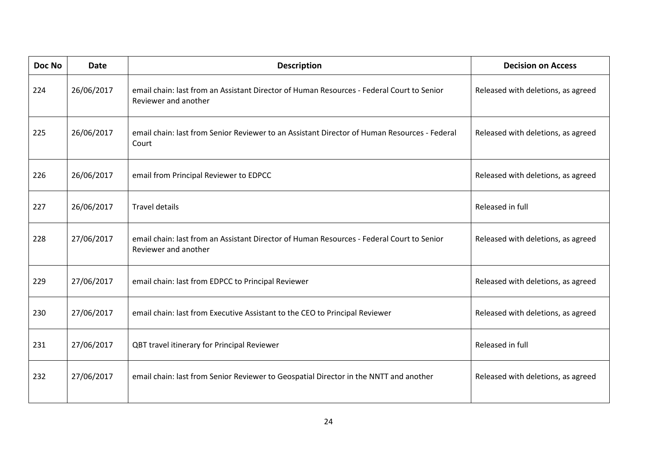| Doc No | <b>Date</b> | <b>Description</b>                                                                                                | <b>Decision on Access</b>          |
|--------|-------------|-------------------------------------------------------------------------------------------------------------------|------------------------------------|
| 224    | 26/06/2017  | email chain: last from an Assistant Director of Human Resources - Federal Court to Senior<br>Reviewer and another | Released with deletions, as agreed |
| 225    | 26/06/2017  | email chain: last from Senior Reviewer to an Assistant Director of Human Resources - Federal<br>Court             | Released with deletions, as agreed |
| 226    | 26/06/2017  | email from Principal Reviewer to EDPCC                                                                            | Released with deletions, as agreed |
| 227    | 26/06/2017  | <b>Travel details</b>                                                                                             | Released in full                   |
| 228    | 27/06/2017  | email chain: last from an Assistant Director of Human Resources - Federal Court to Senior<br>Reviewer and another | Released with deletions, as agreed |
| 229    | 27/06/2017  | email chain: last from EDPCC to Principal Reviewer                                                                | Released with deletions, as agreed |
| 230    | 27/06/2017  | email chain: last from Executive Assistant to the CEO to Principal Reviewer                                       | Released with deletions, as agreed |
| 231    | 27/06/2017  | QBT travel itinerary for Principal Reviewer                                                                       | Released in full                   |
| 232    | 27/06/2017  | email chain: last from Senior Reviewer to Geospatial Director in the NNTT and another                             | Released with deletions, as agreed |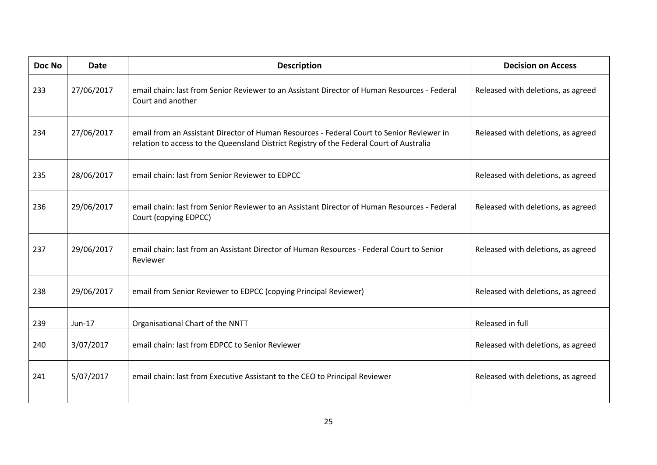| Doc No | <b>Date</b> | <b>Description</b>                                                                                                                                                                    | <b>Decision on Access</b>          |
|--------|-------------|---------------------------------------------------------------------------------------------------------------------------------------------------------------------------------------|------------------------------------|
| 233    | 27/06/2017  | email chain: last from Senior Reviewer to an Assistant Director of Human Resources - Federal<br>Court and another                                                                     | Released with deletions, as agreed |
| 234    | 27/06/2017  | email from an Assistant Director of Human Resources - Federal Court to Senior Reviewer in<br>relation to access to the Queensland District Registry of the Federal Court of Australia | Released with deletions, as agreed |
| 235    | 28/06/2017  | email chain: last from Senior Reviewer to EDPCC                                                                                                                                       | Released with deletions, as agreed |
| 236    | 29/06/2017  | email chain: last from Senior Reviewer to an Assistant Director of Human Resources - Federal<br>Court (copying EDPCC)                                                                 | Released with deletions, as agreed |
| 237    | 29/06/2017  | email chain: last from an Assistant Director of Human Resources - Federal Court to Senior<br>Reviewer                                                                                 | Released with deletions, as agreed |
| 238    | 29/06/2017  | email from Senior Reviewer to EDPCC (copying Principal Reviewer)                                                                                                                      | Released with deletions, as agreed |
| 239    | Jun-17      | Organisational Chart of the NNTT                                                                                                                                                      | Released in full                   |
| 240    | 3/07/2017   | email chain: last from EDPCC to Senior Reviewer                                                                                                                                       | Released with deletions, as agreed |
| 241    | 5/07/2017   | email chain: last from Executive Assistant to the CEO to Principal Reviewer                                                                                                           | Released with deletions, as agreed |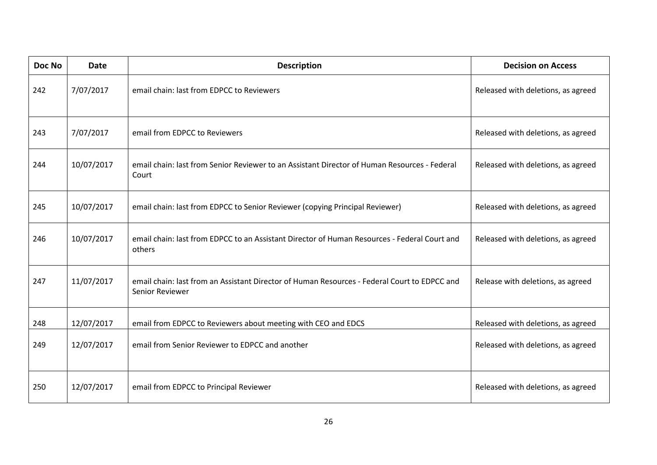| Doc No | <b>Date</b> | <b>Description</b>                                                                                              | <b>Decision on Access</b>          |
|--------|-------------|-----------------------------------------------------------------------------------------------------------------|------------------------------------|
| 242    | 7/07/2017   | email chain: last from EDPCC to Reviewers                                                                       | Released with deletions, as agreed |
| 243    | 7/07/2017   | email from EDPCC to Reviewers                                                                                   | Released with deletions, as agreed |
| 244    | 10/07/2017  | email chain: last from Senior Reviewer to an Assistant Director of Human Resources - Federal<br>Court           | Released with deletions, as agreed |
| 245    | 10/07/2017  | email chain: last from EDPCC to Senior Reviewer (copying Principal Reviewer)                                    | Released with deletions, as agreed |
| 246    | 10/07/2017  | email chain: last from EDPCC to an Assistant Director of Human Resources - Federal Court and<br>others          | Released with deletions, as agreed |
| 247    | 11/07/2017  | email chain: last from an Assistant Director of Human Resources - Federal Court to EDPCC and<br>Senior Reviewer | Release with deletions, as agreed  |
| 248    | 12/07/2017  | email from EDPCC to Reviewers about meeting with CEO and EDCS                                                   | Released with deletions, as agreed |
| 249    | 12/07/2017  | email from Senior Reviewer to EDPCC and another                                                                 | Released with deletions, as agreed |
| 250    | 12/07/2017  | email from EDPCC to Principal Reviewer                                                                          | Released with deletions, as agreed |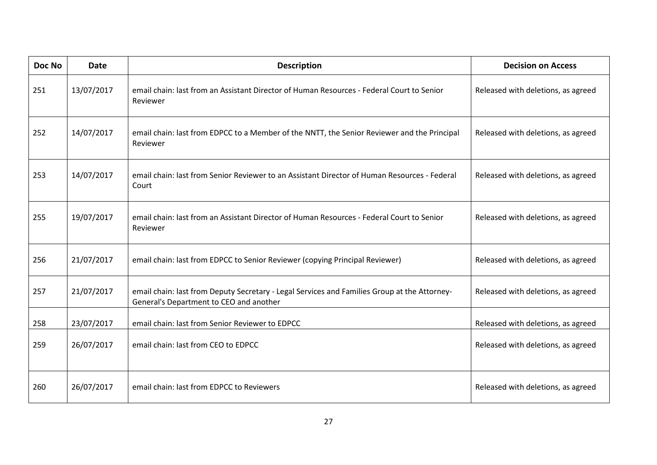| Doc No | <b>Date</b> | <b>Description</b>                                                                                                                      | <b>Decision on Access</b>          |
|--------|-------------|-----------------------------------------------------------------------------------------------------------------------------------------|------------------------------------|
| 251    | 13/07/2017  | email chain: last from an Assistant Director of Human Resources - Federal Court to Senior<br>Reviewer                                   | Released with deletions, as agreed |
| 252    | 14/07/2017  | email chain: last from EDPCC to a Member of the NNTT, the Senior Reviewer and the Principal<br>Reviewer                                 | Released with deletions, as agreed |
| 253    | 14/07/2017  | email chain: last from Senior Reviewer to an Assistant Director of Human Resources - Federal<br>Court                                   | Released with deletions, as agreed |
| 255    | 19/07/2017  | email chain: last from an Assistant Director of Human Resources - Federal Court to Senior<br>Reviewer                                   | Released with deletions, as agreed |
| 256    | 21/07/2017  | email chain: last from EDPCC to Senior Reviewer (copying Principal Reviewer)                                                            | Released with deletions, as agreed |
| 257    | 21/07/2017  | email chain: last from Deputy Secretary - Legal Services and Families Group at the Attorney-<br>General's Department to CEO and another | Released with deletions, as agreed |
| 258    | 23/07/2017  | email chain: last from Senior Reviewer to EDPCC                                                                                         | Released with deletions, as agreed |
| 259    | 26/07/2017  | email chain: last from CEO to EDPCC                                                                                                     | Released with deletions, as agreed |
| 260    | 26/07/2017  | email chain: last from EDPCC to Reviewers                                                                                               | Released with deletions, as agreed |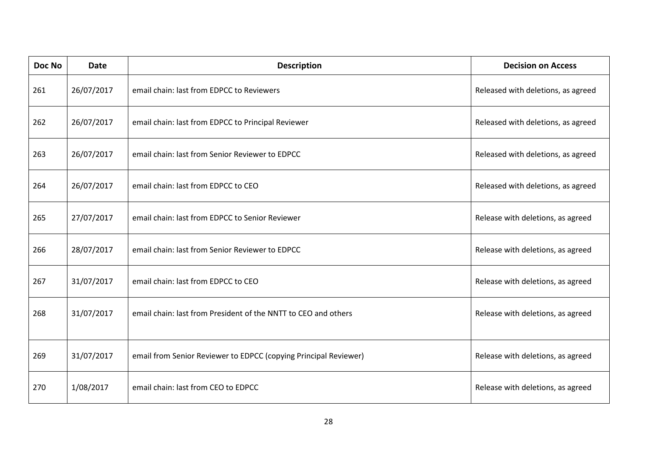| Doc No | <b>Date</b> | <b>Description</b>                                               | <b>Decision on Access</b>          |
|--------|-------------|------------------------------------------------------------------|------------------------------------|
| 261    | 26/07/2017  | email chain: last from EDPCC to Reviewers                        | Released with deletions, as agreed |
| 262    | 26/07/2017  | email chain: last from EDPCC to Principal Reviewer               | Released with deletions, as agreed |
| 263    | 26/07/2017  | email chain: last from Senior Reviewer to EDPCC                  | Released with deletions, as agreed |
| 264    | 26/07/2017  | email chain: last from EDPCC to CEO                              | Released with deletions, as agreed |
| 265    | 27/07/2017  | email chain: last from EDPCC to Senior Reviewer                  | Release with deletions, as agreed  |
| 266    | 28/07/2017  | email chain: last from Senior Reviewer to EDPCC                  | Release with deletions, as agreed  |
| 267    | 31/07/2017  | email chain: last from EDPCC to CEO                              | Release with deletions, as agreed  |
| 268    | 31/07/2017  | email chain: last from President of the NNTT to CEO and others   | Release with deletions, as agreed  |
| 269    | 31/07/2017  | email from Senior Reviewer to EDPCC (copying Principal Reviewer) | Release with deletions, as agreed  |
| 270    | 1/08/2017   | email chain: last from CEO to EDPCC                              | Release with deletions, as agreed  |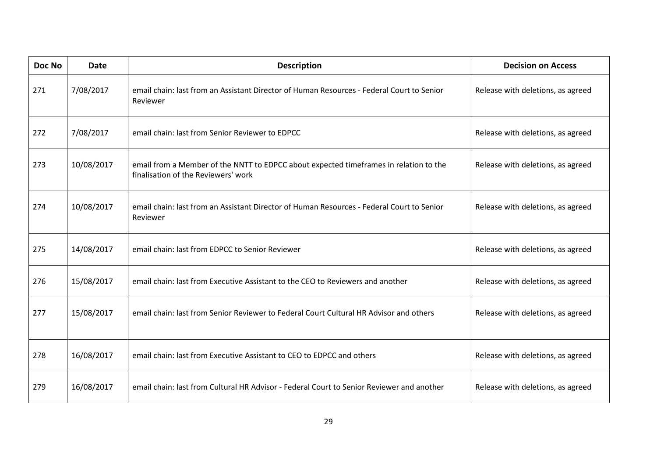| Doc No | <b>Date</b> | <b>Description</b>                                                                                                           | <b>Decision on Access</b>         |
|--------|-------------|------------------------------------------------------------------------------------------------------------------------------|-----------------------------------|
| 271    | 7/08/2017   | email chain: last from an Assistant Director of Human Resources - Federal Court to Senior<br>Reviewer                        | Release with deletions, as agreed |
| 272    | 7/08/2017   | email chain: last from Senior Reviewer to EDPCC                                                                              | Release with deletions, as agreed |
| 273    | 10/08/2017  | email from a Member of the NNTT to EDPCC about expected timeframes in relation to the<br>finalisation of the Reviewers' work | Release with deletions, as agreed |
| 274    | 10/08/2017  | email chain: last from an Assistant Director of Human Resources - Federal Court to Senior<br>Reviewer                        | Release with deletions, as agreed |
| 275    | 14/08/2017  | email chain: last from EDPCC to Senior Reviewer                                                                              | Release with deletions, as agreed |
| 276    | 15/08/2017  | email chain: last from Executive Assistant to the CEO to Reviewers and another                                               | Release with deletions, as agreed |
| 277    | 15/08/2017  | email chain: last from Senior Reviewer to Federal Court Cultural HR Advisor and others                                       | Release with deletions, as agreed |
| 278    | 16/08/2017  | email chain: last from Executive Assistant to CEO to EDPCC and others                                                        | Release with deletions, as agreed |
| 279    | 16/08/2017  | email chain: last from Cultural HR Advisor - Federal Court to Senior Reviewer and another                                    | Release with deletions, as agreed |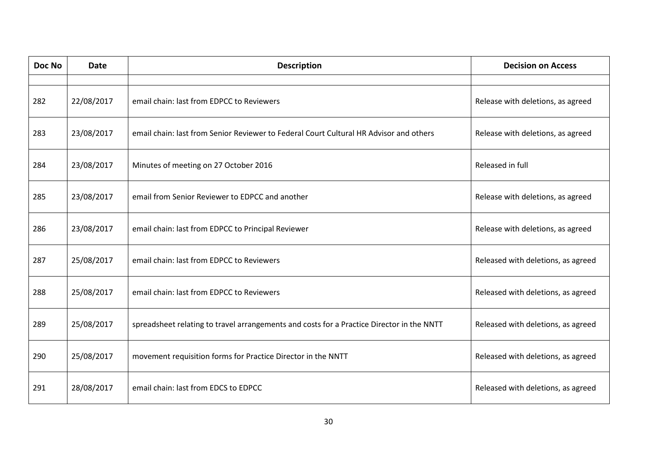| Doc No | <b>Date</b> | <b>Description</b>                                                                        | <b>Decision on Access</b>          |
|--------|-------------|-------------------------------------------------------------------------------------------|------------------------------------|
|        |             |                                                                                           |                                    |
| 282    | 22/08/2017  | email chain: last from EDPCC to Reviewers                                                 | Release with deletions, as agreed  |
| 283    | 23/08/2017  | email chain: last from Senior Reviewer to Federal Court Cultural HR Advisor and others    | Release with deletions, as agreed  |
| 284    | 23/08/2017  | Minutes of meeting on 27 October 2016                                                     | Released in full                   |
| 285    | 23/08/2017  | email from Senior Reviewer to EDPCC and another                                           | Release with deletions, as agreed  |
| 286    | 23/08/2017  | email chain: last from EDPCC to Principal Reviewer                                        | Release with deletions, as agreed  |
| 287    | 25/08/2017  | email chain: last from EDPCC to Reviewers                                                 | Released with deletions, as agreed |
| 288    | 25/08/2017  | email chain: last from EDPCC to Reviewers                                                 | Released with deletions, as agreed |
| 289    | 25/08/2017  | spreadsheet relating to travel arrangements and costs for a Practice Director in the NNTT | Released with deletions, as agreed |
| 290    | 25/08/2017  | movement requisition forms for Practice Director in the NNTT                              | Released with deletions, as agreed |
| 291    | 28/08/2017  | email chain: last from EDCS to EDPCC                                                      | Released with deletions, as agreed |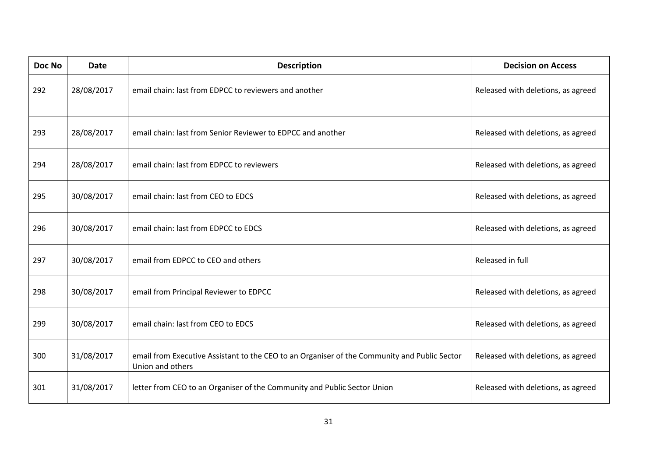| Doc No | <b>Date</b> | <b>Description</b>                                                                                               | <b>Decision on Access</b>          |
|--------|-------------|------------------------------------------------------------------------------------------------------------------|------------------------------------|
| 292    | 28/08/2017  | email chain: last from EDPCC to reviewers and another                                                            | Released with deletions, as agreed |
| 293    | 28/08/2017  | email chain: last from Senior Reviewer to EDPCC and another                                                      | Released with deletions, as agreed |
| 294    | 28/08/2017  | email chain: last from EDPCC to reviewers                                                                        | Released with deletions, as agreed |
| 295    | 30/08/2017  | email chain: last from CEO to EDCS                                                                               | Released with deletions, as agreed |
| 296    | 30/08/2017  | email chain: last from EDPCC to EDCS                                                                             | Released with deletions, as agreed |
| 297    | 30/08/2017  | email from EDPCC to CEO and others                                                                               | Released in full                   |
| 298    | 30/08/2017  | email from Principal Reviewer to EDPCC                                                                           | Released with deletions, as agreed |
| 299    | 30/08/2017  | email chain: last from CEO to EDCS                                                                               | Released with deletions, as agreed |
| 300    | 31/08/2017  | email from Executive Assistant to the CEO to an Organiser of the Community and Public Sector<br>Union and others | Released with deletions, as agreed |
| 301    | 31/08/2017  | letter from CEO to an Organiser of the Community and Public Sector Union                                         | Released with deletions, as agreed |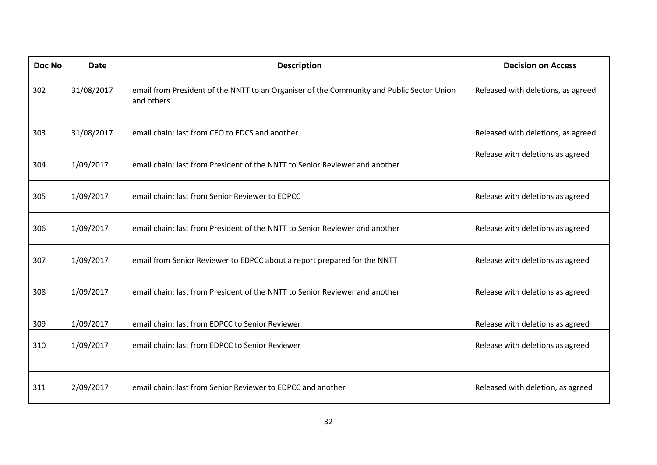| Doc No | <b>Date</b> | <b>Description</b>                                                                                      | <b>Decision on Access</b>          |
|--------|-------------|---------------------------------------------------------------------------------------------------------|------------------------------------|
| 302    | 31/08/2017  | email from President of the NNTT to an Organiser of the Community and Public Sector Union<br>and others | Released with deletions, as agreed |
| 303    | 31/08/2017  | email chain: last from CEO to EDCS and another                                                          | Released with deletions, as agreed |
| 304    | 1/09/2017   | email chain: last from President of the NNTT to Senior Reviewer and another                             | Release with deletions as agreed   |
| 305    | 1/09/2017   | email chain: last from Senior Reviewer to EDPCC                                                         | Release with deletions as agreed   |
| 306    | 1/09/2017   | email chain: last from President of the NNTT to Senior Reviewer and another                             | Release with deletions as agreed   |
| 307    | 1/09/2017   | email from Senior Reviewer to EDPCC about a report prepared for the NNTT                                | Release with deletions as agreed   |
| 308    | 1/09/2017   | email chain: last from President of the NNTT to Senior Reviewer and another                             | Release with deletions as agreed   |
| 309    | 1/09/2017   | email chain: last from EDPCC to Senior Reviewer                                                         | Release with deletions as agreed   |
| 310    | 1/09/2017   | email chain: last from EDPCC to Senior Reviewer                                                         | Release with deletions as agreed   |
| 311    | 2/09/2017   | email chain: last from Senior Reviewer to EDPCC and another                                             | Released with deletion, as agreed  |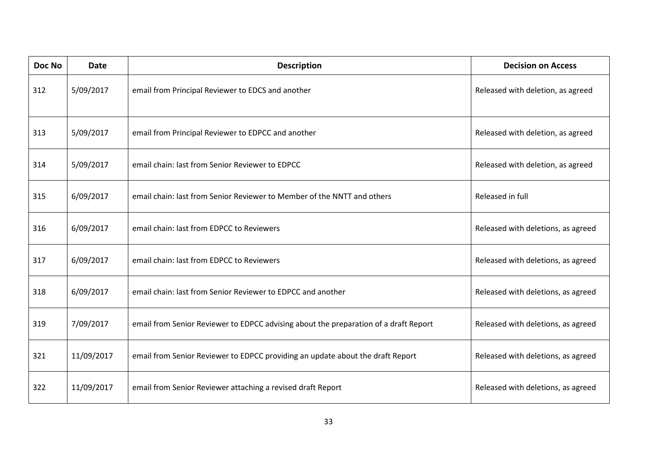| Doc No | <b>Date</b> | <b>Description</b>                                                                   | <b>Decision on Access</b>          |
|--------|-------------|--------------------------------------------------------------------------------------|------------------------------------|
| 312    | 5/09/2017   | email from Principal Reviewer to EDCS and another                                    | Released with deletion, as agreed  |
| 313    | 5/09/2017   | email from Principal Reviewer to EDPCC and another                                   | Released with deletion, as agreed  |
| 314    | 5/09/2017   | email chain: last from Senior Reviewer to EDPCC                                      | Released with deletion, as agreed  |
| 315    | 6/09/2017   | email chain: last from Senior Reviewer to Member of the NNTT and others              | Released in full                   |
| 316    | 6/09/2017   | email chain: last from EDPCC to Reviewers                                            | Released with deletions, as agreed |
| 317    | 6/09/2017   | email chain: last from EDPCC to Reviewers                                            | Released with deletions, as agreed |
| 318    | 6/09/2017   | email chain: last from Senior Reviewer to EDPCC and another                          | Released with deletions, as agreed |
| 319    | 7/09/2017   | email from Senior Reviewer to EDPCC advising about the preparation of a draft Report | Released with deletions, as agreed |
| 321    | 11/09/2017  | email from Senior Reviewer to EDPCC providing an update about the draft Report       | Released with deletions, as agreed |
| 322    | 11/09/2017  | email from Senior Reviewer attaching a revised draft Report                          | Released with deletions, as agreed |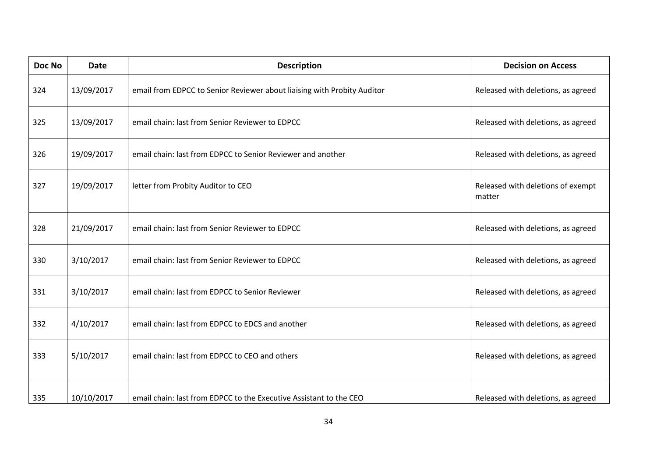| Doc No | <b>Date</b> | <b>Description</b>                                                      | <b>Decision on Access</b>                   |
|--------|-------------|-------------------------------------------------------------------------|---------------------------------------------|
| 324    | 13/09/2017  | email from EDPCC to Senior Reviewer about liaising with Probity Auditor | Released with deletions, as agreed          |
| 325    | 13/09/2017  | email chain: last from Senior Reviewer to EDPCC                         | Released with deletions, as agreed          |
| 326    | 19/09/2017  | email chain: last from EDPCC to Senior Reviewer and another             | Released with deletions, as agreed          |
| 327    | 19/09/2017  | letter from Probity Auditor to CEO                                      | Released with deletions of exempt<br>matter |
| 328    | 21/09/2017  | email chain: last from Senior Reviewer to EDPCC                         | Released with deletions, as agreed          |
| 330    | 3/10/2017   | email chain: last from Senior Reviewer to EDPCC                         | Released with deletions, as agreed          |
| 331    | 3/10/2017   | email chain: last from EDPCC to Senior Reviewer                         | Released with deletions, as agreed          |
| 332    | 4/10/2017   | email chain: last from EDPCC to EDCS and another                        | Released with deletions, as agreed          |
| 333    | 5/10/2017   | email chain: last from EDPCC to CEO and others                          | Released with deletions, as agreed          |
| 335    | 10/10/2017  | email chain: last from EDPCC to the Executive Assistant to the CEO      | Released with deletions, as agreed          |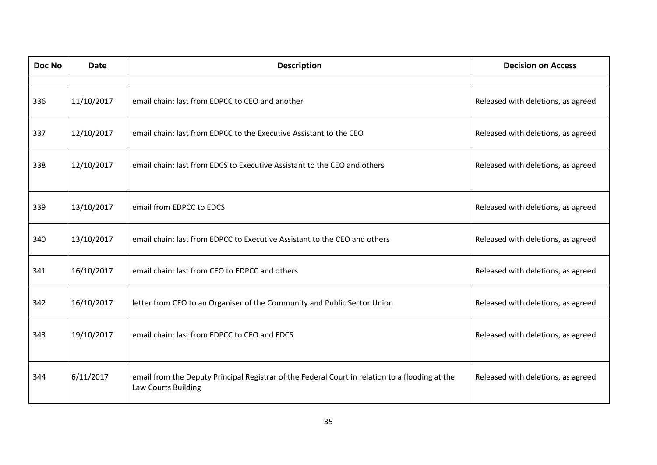| Doc No | <b>Date</b> | <b>Description</b>                                                                                                     | <b>Decision on Access</b>          |
|--------|-------------|------------------------------------------------------------------------------------------------------------------------|------------------------------------|
|        |             |                                                                                                                        |                                    |
| 336    | 11/10/2017  | email chain: last from EDPCC to CEO and another                                                                        | Released with deletions, as agreed |
| 337    | 12/10/2017  | email chain: last from EDPCC to the Executive Assistant to the CEO                                                     | Released with deletions, as agreed |
| 338    | 12/10/2017  | email chain: last from EDCS to Executive Assistant to the CEO and others                                               | Released with deletions, as agreed |
| 339    | 13/10/2017  | email from EDPCC to EDCS                                                                                               | Released with deletions, as agreed |
| 340    | 13/10/2017  | email chain: last from EDPCC to Executive Assistant to the CEO and others                                              | Released with deletions, as agreed |
| 341    | 16/10/2017  | email chain: last from CEO to EDPCC and others                                                                         | Released with deletions, as agreed |
| 342    | 16/10/2017  | letter from CEO to an Organiser of the Community and Public Sector Union                                               | Released with deletions, as agreed |
| 343    | 19/10/2017  | email chain: last from EDPCC to CEO and EDCS                                                                           | Released with deletions, as agreed |
| 344    | 6/11/2017   | email from the Deputy Principal Registrar of the Federal Court in relation to a flooding at the<br>Law Courts Building | Released with deletions, as agreed |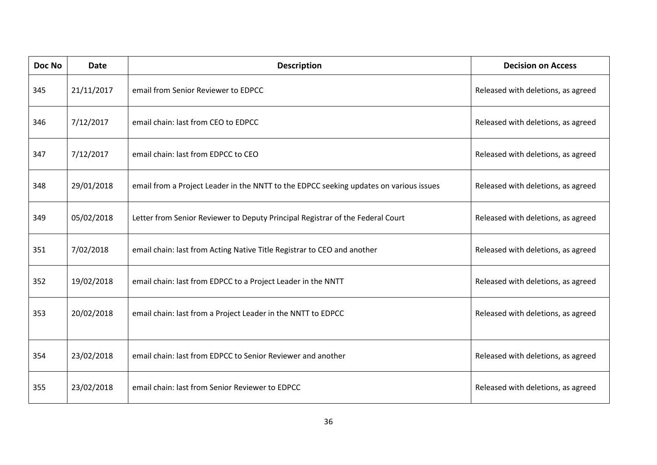| Doc No | <b>Date</b> | <b>Description</b>                                                                     | <b>Decision on Access</b>          |
|--------|-------------|----------------------------------------------------------------------------------------|------------------------------------|
| 345    | 21/11/2017  | email from Senior Reviewer to EDPCC                                                    | Released with deletions, as agreed |
| 346    | 7/12/2017   | email chain: last from CEO to EDPCC                                                    | Released with deletions, as agreed |
| 347    | 7/12/2017   | email chain: last from EDPCC to CEO                                                    | Released with deletions, as agreed |
| 348    | 29/01/2018  | email from a Project Leader in the NNTT to the EDPCC seeking updates on various issues | Released with deletions, as agreed |
| 349    | 05/02/2018  | Letter from Senior Reviewer to Deputy Principal Registrar of the Federal Court         | Released with deletions, as agreed |
| 351    | 7/02/2018   | email chain: last from Acting Native Title Registrar to CEO and another                | Released with deletions, as agreed |
| 352    | 19/02/2018  | email chain: last from EDPCC to a Project Leader in the NNTT                           | Released with deletions, as agreed |
| 353    | 20/02/2018  | email chain: last from a Project Leader in the NNTT to EDPCC                           | Released with deletions, as agreed |
| 354    | 23/02/2018  | email chain: last from EDPCC to Senior Reviewer and another                            | Released with deletions, as agreed |
| 355    | 23/02/2018  | email chain: last from Senior Reviewer to EDPCC                                        | Released with deletions, as agreed |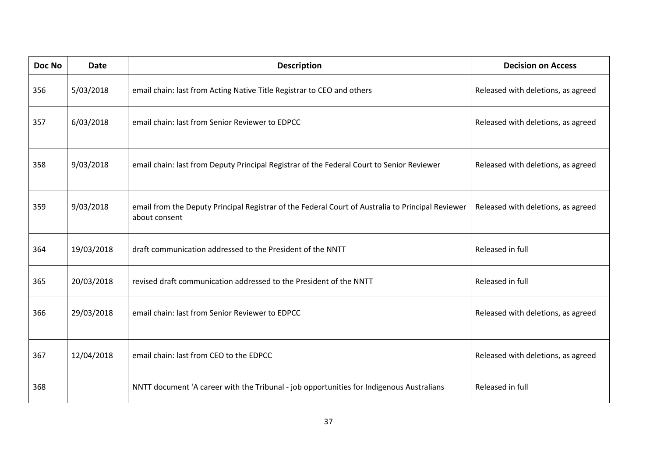| Doc No | <b>Date</b> | <b>Description</b>                                                                                                 | <b>Decision on Access</b>          |
|--------|-------------|--------------------------------------------------------------------------------------------------------------------|------------------------------------|
| 356    | 5/03/2018   | email chain: last from Acting Native Title Registrar to CEO and others                                             | Released with deletions, as agreed |
| 357    | 6/03/2018   | email chain: last from Senior Reviewer to EDPCC                                                                    | Released with deletions, as agreed |
| 358    | 9/03/2018   | email chain: last from Deputy Principal Registrar of the Federal Court to Senior Reviewer                          | Released with deletions, as agreed |
| 359    | 9/03/2018   | email from the Deputy Principal Registrar of the Federal Court of Australia to Principal Reviewer<br>about consent | Released with deletions, as agreed |
| 364    | 19/03/2018  | draft communication addressed to the President of the NNTT                                                         | Released in full                   |
| 365    | 20/03/2018  | revised draft communication addressed to the President of the NNTT                                                 | Released in full                   |
| 366    | 29/03/2018  | email chain: last from Senior Reviewer to EDPCC                                                                    | Released with deletions, as agreed |
| 367    | 12/04/2018  | email chain: last from CEO to the EDPCC                                                                            | Released with deletions, as agreed |
| 368    |             | NNTT document 'A career with the Tribunal - job opportunities for Indigenous Australians                           | Released in full                   |